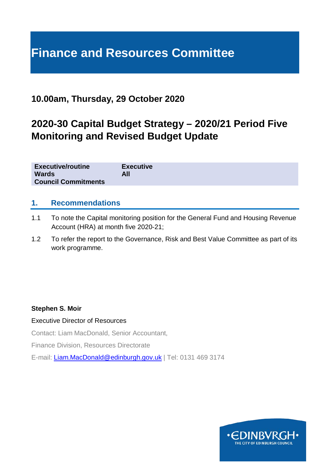# **Finance and Resources Committee**

## **10.00am, Thursday, 29 October 2020**

## **2020-30 Capital Budget Strategy – 2020/21 Period Five Monitoring and Revised Budget Update**

| <b>Executive/routine</b>   | <b>Executive</b> |
|----------------------------|------------------|
| <b>Wards</b>               | All              |
| <b>Council Commitments</b> |                  |

#### **1. Recommendations**

- 1.1 To note the Capital monitoring position for the General Fund and Housing Revenue Account (HRA) at month five 2020-21;
- 1.2 To refer the report to the Governance, Risk and Best Value Committee as part of its work programme.

#### **Stephen S. Moir**

#### Executive Director of Resources

Contact: Liam MacDonald, Senior Accountant,

Finance Division, Resources Directorate

E-mail: [Liam.MacDonald@edinburgh.gov.uk](mailto:Liam.MacDonald@edinburgh.gov.uk) | Tel: 0131 469 3174

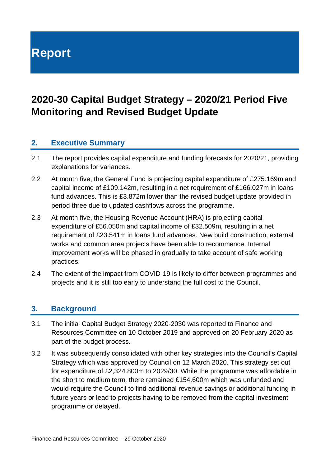**Report**

## **2020-30 Capital Budget Strategy – 2020/21 Period Five Monitoring and Revised Budget Update**

## **2. Executive Summary**

- 2.1 The report provides capital expenditure and funding forecasts for 2020/21, providing explanations for variances.
- 2.2 At month five, the General Fund is projecting capital expenditure of £275.169m and capital income of £109.142m, resulting in a net requirement of £166.027m in loans fund advances. This is £3.872m lower than the revised budget update provided in period three due to updated cashflows across the programme.
- 2.3 At month five, the Housing Revenue Account (HRA) is projecting capital expenditure of £56.050m and capital income of £32.509m, resulting in a net requirement of £23.541m in loans fund advances. New build construction, external works and common area projects have been able to recommence. Internal improvement works will be phased in gradually to take account of safe working practices.
- 2.4 The extent of the impact from COVID-19 is likely to differ between programmes and projects and it is still too early to understand the full cost to the Council.

## **3. Background**

- 3.1 The initial Capital Budget Strategy 2020-2030 was reported to Finance and Resources Committee on 10 October 2019 and approved on 20 February 2020 as part of the budget process.
- 3.2 It was subsequently consolidated with other key strategies into the Council's Capital Strategy which was approved by Council on 12 March 2020. This strategy set out for expenditure of £2,324.800m to 2029/30. While the programme was affordable in the short to medium term, there remained £154.600m which was unfunded and would require the Council to find additional revenue savings or additional funding in future years or lead to projects having to be removed from the capital investment programme or delayed.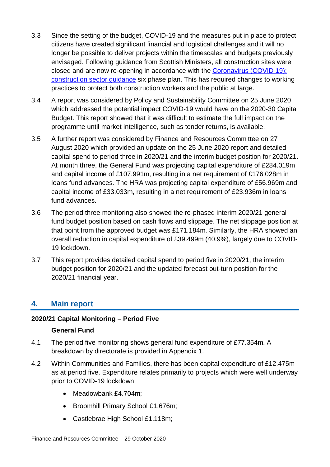- 3.3 Since the setting of the budget, COVID-19 and the measures put in place to protect citizens have created significant financial and logistical challenges and it will no longer be possible to deliver projects within the timescales and budgets previously envisaged. Following guidance from Scottish Ministers, all construction sites were closed and are now re-opening in accordance with the [Coronavirus \(COVID 19\):](https://www.gov.scot/publications/coronavirus-covid-19-construction-sector-guidance/)  [construction sector guidance](https://www.gov.scot/publications/coronavirus-covid-19-construction-sector-guidance/) six phase plan. This has required changes to working practices to protect both construction workers and the public at large.
- 3.4 A report was considered by Policy and Sustainability Committee on 25 June 2020 which addressed the potential impact COVID-19 would have on the 2020-30 Capital Budget. This report showed that it was difficult to estimate the full impact on the programme until market intelligence, such as tender returns, is available.
- 3.5 A further report was considered by Finance and Resources Committee on 27 August 2020 which provided an update on the 25 June 2020 report and detailed capital spend to period three in 2020/21 and the interim budget position for 2020/21. At month three, the General Fund was projecting capital expenditure of £284.019m and capital income of £107.991m, resulting in a net requirement of £176.028m in loans fund advances. The HRA was projecting capital expenditure of £56.969m and capital income of £33.033m, resulting in a net requirement of £23.936m in loans fund advances.
- 3.6 The period three monitoring also showed the re-phased interim 2020/21 general fund budget position based on cash flows and slippage. The net slippage position at that point from the approved budget was £171.184m. Similarly, the HRA showed an overall reduction in capital expenditure of £39.499m (40.9%), largely due to COVID-19 lockdown.
- 3.7 This report provides detailed capital spend to period five in 2020/21, the interim budget position for 2020/21 and the updated forecast out-turn position for the 2020/21 financial year.

## **4. Main report**

#### **2020/21 Capital Monitoring – Period Five**

#### **General Fund**

- 4.1 The period five monitoring shows general fund expenditure of £77.354m. A breakdown by directorate is provided in Appendix 1.
- 4.2 Within Communities and Families, there has been capital expenditure of £12.475m as at period five. Expenditure relates primarily to projects which were well underway prior to COVID-19 lockdown;
	- Meadowbank £4.704m;
	- Broomhill Primary School £1.676m;
	- Castlebrae High School £1.118m;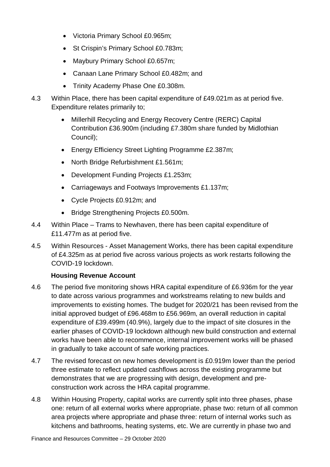- Victoria Primary School £0.965m;
- St Crispin's Primary School £0.783m;
- Maybury Primary School £0.657m;
- Canaan Lane Primary School £0.482m; and
- Trinity Academy Phase One £0.308m.
- 4.3 Within Place, there has been capital expenditure of £49.021m as at period five. Expenditure relates primarily to;
	- Millerhill Recycling and Energy Recovery Centre (RERC) Capital Contribution £36.900m (including £7.380m share funded by Midlothian Council);
	- Energy Efficiency Street Lighting Programme £2.387m;
	- North Bridge Refurbishment £1.561m;
	- Development Funding Projects £1.253m;
	- Carriageways and Footways Improvements £1.137m;
	- Cycle Projects £0.912m; and
	- Bridge Strengthening Projects £0.500m.
- 4.4 Within Place Trams to Newhaven, there has been capital expenditure of £11.477m as at period five.
- 4.5 Within Resources Asset Management Works, there has been capital expenditure of £4.325m as at period five across various projects as work restarts following the COVID-19 lockdown.

#### **Housing Revenue Account**

- 4.6 The period five monitoring shows HRA capital expenditure of £6.936m for the year to date across various programmes and workstreams relating to new builds and improvements to existing homes. The budget for 2020/21 has been revised from the initial approved budget of £96.468m to £56.969m, an overall reduction in capital expenditure of £39.499m (40.9%), largely due to the impact of site closures in the earlier phases of COVID-19 lockdown although new build construction and external works have been able to recommence, internal improvement works will be phased in gradually to take account of safe working practices.
- 4.7 The revised forecast on new homes development is £0.919m lower than the period three estimate to reflect updated cashflows across the existing programme but demonstrates that we are progressing with design, development and preconstruction work across the HRA capital programme.
- 4.8 Within Housing Property, capital works are currently split into three phases, phase one: return of all external works where appropriate, phase two: return of all common area projects where appropriate and phase three: return of internal works such as kitchens and bathrooms, heating systems, etc. We are currently in phase two and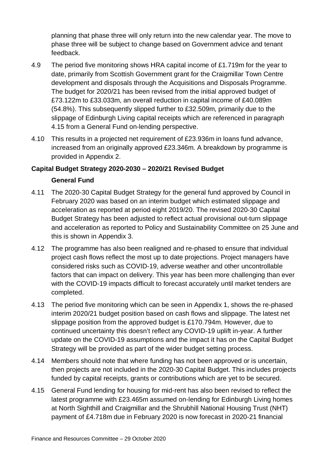planning that phase three will only return into the new calendar year. The move to phase three will be subject to change based on Government advice and tenant feedback.

- 4.9 The period five monitoring shows HRA capital income of £1.719m for the year to date, primarily from Scottish Government grant for the Craigmillar Town Centre development and disposals through the Acquisitions and Disposals Programme. The budget for 2020/21 has been revised from the initial approved budget of £73.122m to £33.033m, an overall reduction in capital income of £40.089m (54.8%). This subsequently slipped further to £32.509m, primarily due to the slippage of Edinburgh Living capital receipts which are referenced in paragraph 4.15 from a General Fund on-lending perspective.
- 4.10 This results in a projected net requirement of £23.936m in loans fund advance, increased from an originally approved £23.346m. A breakdown by programme is provided in Appendix 2.

#### **Capital Budget Strategy 2020-2030 – 2020/21 Revised Budget**

#### **General Fund**

- 4.11 The 2020-30 Capital Budget Strategy for the general fund approved by Council in February 2020 was based on an interim budget which estimated slippage and acceleration as reported at period eight 2019/20. The revised 2020-30 Capital Budget Strategy has been adjusted to reflect actual provisional out-turn slippage and acceleration as reported to Policy and Sustainability Committee on 25 June and this is shown in Appendix 3.
- 4.12 The programme has also been realigned and re-phased to ensure that individual project cash flows reflect the most up to date projections. Project managers have considered risks such as COVID-19, adverse weather and other uncontrollable factors that can impact on delivery. This year has been more challenging than ever with the COVID-19 impacts difficult to forecast accurately until market tenders are completed.
- 4.13 The period five monitoring which can be seen in Appendix 1, shows the re-phased interim 2020/21 budget position based on cash flows and slippage. The latest net slippage position from the approved budget is £170.794m. However, due to continued uncertainty this doesn't reflect any COVID-19 uplift in-year. A further update on the COVID-19 assumptions and the impact it has on the Capital Budget Strategy will be provided as part of the wider budget setting process.
- 4.14 Members should note that where funding has not been approved or is uncertain, then projects are not included in the 2020-30 Capital Budget. This includes projects funded by capital receipts, grants or contributions which are yet to be secured.
- 4.15 General Fund lending for housing for mid-rent has also been revised to reflect the latest programme with £23.465m assumed on-lending for Edinburgh Living homes at North Sighthill and Craigmillar and the Shrubhill National Housing Trust (NHT) payment of £4.718m due in February 2020 is now forecast in 2020-21 financial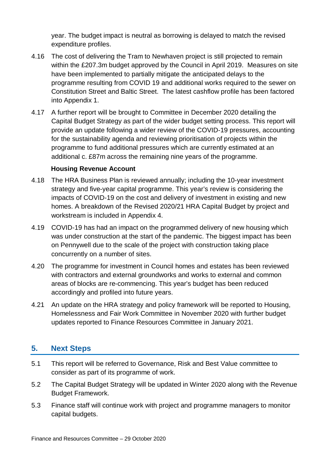year. The budget impact is neutral as borrowing is delayed to match the revised expenditure profiles.

- 4.16 The cost of delivering the Tram to Newhaven project is still projected to remain within the £207.3m budget approved by the Council in April 2019. Measures on site have been implemented to partially mitigate the anticipated delays to the programme resulting from COVID 19 and additional works required to the sewer on Constitution Street and Baltic Street. The latest cashflow profile has been factored into Appendix 1.
- 4.17 A further report will be brought to Committee in December 2020 detailing the Capital Budget Strategy as part of the wider budget setting process. This report will provide an update following a wider review of the COVID-19 pressures, accounting for the sustainability agenda and reviewing prioritisation of projects within the programme to fund additional pressures which are currently estimated at an additional c. £87m across the remaining nine years of the programme.

#### **Housing Revenue Account**

- 4.18 The HRA Business Plan is reviewed annually; including the 10-year investment strategy and five-year capital programme. This year's review is considering the impacts of COVID-19 on the cost and delivery of investment in existing and new homes. A breakdown of the Revised 2020/21 HRA Capital Budget by project and workstream is included in Appendix 4.
- 4.19 COVID-19 has had an impact on the programmed delivery of new housing which was under construction at the start of the pandemic. The biggest impact has been on Pennywell due to the scale of the project with construction taking place concurrently on a number of sites.
- 4.20 The programme for investment in Council homes and estates has been reviewed with contractors and external groundworks and works to external and common areas of blocks are re-commencing. This year's budget has been reduced accordingly and profiled into future years.
- 4.21 An update on the HRA strategy and policy framework will be reported to Housing, Homelessness and Fair Work Committee in November 2020 with further budget updates reported to Finance Resources Committee in January 2021.

#### **5. Next Steps**

- 5.1 This report will be referred to Governance, Risk and Best Value committee to consider as part of its programme of work.
- 5.2 The Capital Budget Strategy will be updated in Winter 2020 along with the Revenue Budget Framework.
- 5.3 Finance staff will continue work with project and programme managers to monitor capital budgets.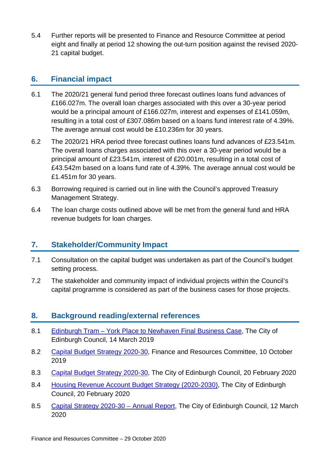5.4 Further reports will be presented to Finance and Resource Committee at period eight and finally at period 12 showing the out-turn position against the revised 2020- 21 capital budget.

### **6. Financial impact**

- 6.1 The 2020/21 general fund period three forecast outlines loans fund advances of £166.027m. The overall loan charges associated with this over a 30-year period would be a principal amount of £166.027m, interest and expenses of £141.059m, resulting in a total cost of £307.086m based on a loans fund interest rate of 4.39%. The average annual cost would be £10.236m for 30 years.
- 6.2 The 2020/21 HRA period three forecast outlines loans fund advances of £23.541m. The overall loans charges associated with this over a 30-year period would be a principal amount of £23.541m, interest of £20.001m, resulting in a total cost of £43.542m based on a loans fund rate of 4.39%. The average annual cost would be £1.451m for 30 years.
- 6.3 Borrowing required is carried out in line with the Council's approved Treasury Management Strategy.
- 6.4 The loan charge costs outlined above will be met from the general fund and HRA revenue budgets for loan charges.

## **7. Stakeholder/Community Impact**

- 7.1 Consultation on the capital budget was undertaken as part of the Council's budget setting process.
- 7.2 The stakeholder and community impact of individual projects within the Council's capital programme is considered as part of the business cases for those projects.

## **8. Background reading/external references**

- 8.1 Edinburgh Tram [York Place to Newhaven Final Business Case,](http://www.edinburgh.gov.uk/download/meetings/id/60285/item_81_-_edinburgh_tram_%E2%80%93_york_place_to_newhaven_final_business_case_-_referral_from_the_transport_and_environment_committeepdf) The City of Edinburgh Council, 14 March 2019
- 8.2 [Capital Budget Strategy 2020-30,](https://democracy.edinburgh.gov.uk/documents/s9346/Capital%20Budget%20Strategy%202020-2030.pdf) Finance and Resources Committee, 10 October 2019
- 8.3 [Capital Budget Strategy 2020-30,](https://democracy.edinburgh.gov.uk/documents/s14099/Item%204.2%20-%20Capital%20Budget%20Strategy%202020-2030%20-%20Referral%20from%20FR.pdf) The City of Edinburgh Council, 20 February 2020
- 8.4 [Housing Revenue Account Budget Strategy \(2020-2030\),](https://democracy.edinburgh.gov.uk/documents/s14097/Item%204.1d%20-%20Housing%20Revenue%20Account%20HRA%20Budget%20Strategy%20-%20Referral%20from%20FR.pdf) The City of Edinburgh Council, 20 February 2020
- 8.5 [Capital Strategy 2020-30 –](https://democracy.edinburgh.gov.uk/documents/s21553/tem%208.5%20-%20Capital%20Strategy%202020-30%20Annual%20Report%20-%20referral%20from%20FR.pdf) Annual Report, The City of Edinburgh Council, 12 March 2020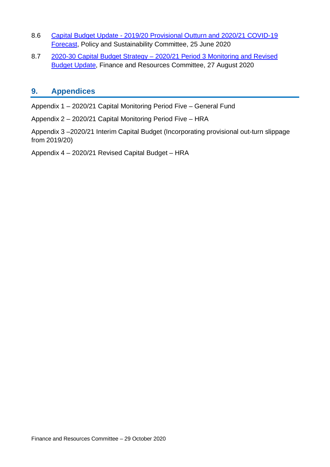- 8.6 Capital Budget Update [2019/20 Provisional Outturn and 2020/21 COVID-19](https://democracy.edinburgh.gov.uk/documents/s24507/Item%206.4%20-%20Capital%20Budget%20Update%202019-20%20Provisional%20Outturn%20and%202020-21%20COVID-19%20Forecast.pdf)  [Forecast,](https://democracy.edinburgh.gov.uk/documents/s24507/Item%206.4%20-%20Capital%20Budget%20Update%202019-20%20Provisional%20Outturn%20and%202020-21%20COVID-19%20Forecast.pdf) Policy and Sustainability Committee, 25 June 2020
- 8.7 2020-30 Capital Budget Strategy 2020/21 Period 3 Monitoring and Revised [Budget Update,](https://democracy.edinburgh.gov.uk/documents/s25588/7.8%20-%202020-30%20Capital%20Budget%20Strategy%202020-21%20Period%203%20Monitoring%20and%20Revised%20Budget%20Update.pdf) Finance and Resources Committee, 27 August 2020

### **9. Appendices**

Appendix 1 – 2020/21 Capital Monitoring Period Five – General Fund

Appendix 2 – 2020/21 Capital Monitoring Period Five – HRA

Appendix 3 –2020/21 Interim Capital Budget (Incorporating provisional out-turn slippage from 2019/20)

Appendix 4 – 2020/21 Revised Capital Budget – HRA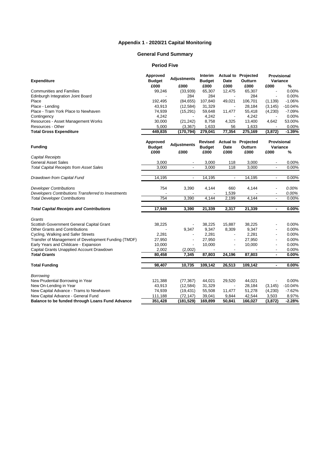#### **Appendix 1 - 2020/21 Capital Monitoring**

#### **General Fund Summary**

#### **Period Five**

|                                                      | Approved<br><b>Adjustments</b>    |                            | Interim                          |                          | <b>Actual to Projected</b>                    | Provisional              |           |
|------------------------------------------------------|-----------------------------------|----------------------------|----------------------------------|--------------------------|-----------------------------------------------|--------------------------|-----------|
| <b>Expenditure</b>                                   | <b>Budget</b>                     |                            | <b>Budget</b>                    | Date                     | Outturn                                       | Variance                 |           |
|                                                      | £000                              | £000                       | £000                             | £000                     | £000                                          | £000                     | %         |
| <b>Communities and Families</b>                      | 99,246                            | (33,939)                   | 65,307                           | 12,475                   | 65,307                                        | $\overline{\phantom{a}}$ | 0.00%     |
| Edinburgh Integration Joint Board                    |                                   | 284                        | 284                              |                          | 284                                           | $\overline{\phantom{a}}$ | 0.00%     |
| Place                                                | 192,495                           | (84, 655)                  | 107,840                          | 49,021                   | 106,701                                       | (1, 139)                 | $-1.06%$  |
| Place - Lending                                      | 43,913                            | (12, 584)                  | 31,329                           | $\overline{\phantom{a}}$ | 28,184                                        | (3, 145)                 | $-10.04%$ |
| Place - Tram York Place to Newhaven                  | 74,939                            | (15, 291)                  | 59,648                           | 11,477                   | 55,418                                        | (4,230)                  | $-7.09%$  |
| Contingency                                          | 4,242                             |                            | 4,242                            |                          | 4,242                                         |                          | 0.00%     |
| Resources - Asset Management Works                   | 30,000                            | (21, 242)                  | 8,758                            | 4,325                    | 13,400                                        | 4,642                    | 53.00%    |
| Resources - Other                                    | 5,000                             | (3, 367)                   | 1,633                            | 56                       | 1,633                                         |                          | 0.00%     |
| <b>Total Gross Expenditure</b>                       | 449,835                           | (170, 794)                 | 279,041                          | 77,354                   | 275,169                                       | (3, 872)                 | $-1.39%$  |
| <b>Funding</b>                                       | Approved<br><b>Budget</b><br>£000 | <b>Adjustments</b><br>£000 | Revised<br><b>Budget</b><br>£000 | Date<br>£000             | <b>Actual to Projected</b><br>Outturn<br>£000 | Provisional<br>Variance  |           |
| <b>Capital Receipts</b>                              |                                   |                            |                                  |                          |                                               | £000                     | %         |
| <b>General Asset Sales</b>                           | 3,000                             |                            | 3,000                            | 118                      | 3,000                                         |                          | 0.00%     |
| <b>Total Capital Receipts from Asset Sales</b>       | 3,000                             | $\overline{a}$             | 3,000                            | $\overline{118}$         | 3,000                                         | $\overline{a}$           | 0.00%     |
|                                                      |                                   |                            |                                  |                          |                                               |                          |           |
| Drawdown from Capital Fund                           | 14,195                            | $\overline{\phantom{a}}$   | 14,195                           | $\overline{\phantom{a}}$ | 14,195                                        | $\overline{\phantom{a}}$ | 0.00%     |
| <b>Developer Contributions</b>                       | 754                               | 3,390                      | 4,144                            | 660                      | 4.144                                         | $\overline{a}$           | 0.00%     |
| Developers Contributions Transferred to Investments  |                                   |                            |                                  | 1,539                    |                                               |                          | 0.00%     |
| <b>Total Developer Contributions</b>                 | $\overline{754}$                  | 3,390                      | 4.144                            | 2,199                    | 4,144                                         | $\overline{a}$           | 0.00%     |
| <b>Total Capital Receipts and Contributions</b>      | 17,949                            | 3,390                      | 21,339                           | 2,317                    | 21,339                                        | ä,                       | 0.00%     |
| Grants                                               |                                   |                            |                                  |                          |                                               |                          |           |
| Scottish Government General Capital Grant            | 38,225                            |                            | 38,225                           | 15,887                   | 38,225                                        |                          | 0.00%     |
| Other Grants and Contributions                       |                                   | 9,347                      | 9,347                            | 8,309                    | 9,347                                         |                          | 0.00%     |
| Cycling, Walking and Safer Streets                   | 2,281                             |                            | 2,281                            | $\overline{\phantom{a}}$ | 2,281                                         | $\overline{a}$           | 0.00%     |
| Transfer of Management of Development Funding (TMDF) | 27,950                            | $\overline{\phantom{a}}$   | 27,950                           | $\overline{a}$           | 27,950                                        |                          | 0.00%     |
| Early Years and Childcare - Expansion                | 10,000                            | $\overline{a}$             | 10,000                           | $\overline{\phantom{a}}$ | 10,000                                        | $\overline{\phantom{a}}$ | 0.00%     |
| Capital Grants Unapplied Account Drawdown            | 2,002                             | (2,002)                    |                                  |                          |                                               |                          | 0.00%     |
| <b>Total Grants</b>                                  | 80,458                            | 7,345                      | 87,803                           | 24,196                   | 87,803                                        | $\blacksquare$           | 0.00%     |
| <b>Total Funding</b>                                 | 98,407                            | 10,735                     | 109,142                          | 26,513                   | 109,142                                       | $\blacksquare$           | 0.00%     |
|                                                      |                                   |                            |                                  |                          |                                               |                          |           |
| Borrowing                                            |                                   |                            |                                  |                          |                                               |                          |           |
| New Prudential Borrowing in Year                     | 121,388                           | (77, 367)                  | 44,021                           | 29,520                   | 44,021                                        | $\overline{a}$           | 0.00%     |
| New On-Lending in Year                               | 43,913                            | (12, 584)                  | 31,329                           |                          | 28,184                                        | (3, 145)                 | $-10.04%$ |
| New Capital Advance - Trams to Newhaven              | 74,939                            | (19, 431)                  | 55,508                           | 11,477                   | 51,278                                        | (4,230)                  | $-7.62%$  |
| New Capital Advance - General Fund                   | 111,188                           | (72, 147)                  | 39,041                           | 9,844                    | 42,544                                        | 3,503                    | 8.97%     |
| Balance to be funded through Loans Fund Advance      | 351,428                           | (181, 529)                 | 169,899                          | 50,841                   | 166,027                                       | (3, 872)                 | $-2.28%$  |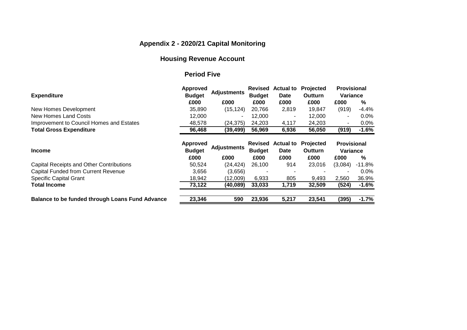## **Appendix 2 - 2020/21 Capital Monitoring**

## **Housing Revenue Account**

#### **Period Five**

| <b>Expenditure</b>                              | <b>Approved</b><br><b>Budget</b> | <b>Adjustments</b> | Revised<br><b>Budget</b>        | <b>Actual to</b><br><b>Date</b> | <b>Projected</b><br><b>Outturn</b> | <b>Provisional</b><br>Variance |          |
|-------------------------------------------------|----------------------------------|--------------------|---------------------------------|---------------------------------|------------------------------------|--------------------------------|----------|
|                                                 | £000                             | £000               | £000                            | £000                            | £000                               | £000                           | %        |
| New Homes Development                           | 35,890                           | (15, 124)          | 20,766                          | 2,819                           | 19,847                             | (919)                          | $-4.4\%$ |
| New Homes Land Costs                            | 12,000                           |                    | 12,000                          | ۰                               | 12,000                             |                                | $0.0\%$  |
| Improvement to Council Homes and Estates        | 48,578                           | (24, 375)          | 24,203                          | 4,117                           | 24,203                             |                                | $0.0\%$  |
| <b>Total Gross Expenditure</b>                  | 96,468                           | (39, 499)          | 56,969                          | 6,936                           | 56,050                             | (919)                          | $-1.6%$  |
| <b>Income</b>                                   | <b>Approved</b><br><b>Budget</b> | <b>Adjustments</b> | <b>Revised</b><br><b>Budget</b> | <b>Actual to</b><br><b>Date</b> | <b>Projected</b><br><b>Outturn</b> | <b>Provisional</b><br>Variance |          |
|                                                 | £000                             | £000               | £000                            | £000                            | £000                               | £000                           | %        |
| <b>Capital Receipts and Other Contributions</b> | 50,524                           | (24, 424)          | 26,100                          | 914                             | 23,016                             | (3,084)                        | $-11.8%$ |
| <b>Capital Funded from Current Revenue</b>      | 3,656                            | (3,656)            | ٠                               | ٠                               |                                    |                                | $0.0\%$  |
| <b>Specific Capital Grant</b>                   | 18,942                           | (12,009)           | 6,933                           | 805                             | 9,493                              | 2,560                          | 36.9%    |
| <b>Total Income</b>                             | 73,122                           | (40, 089)          | 33,033                          | 1,719                           | 32,509                             | (524)                          | $-1.6%$  |
| Balance to be funded through Loans Fund Advance | 23,346                           | 590                | 23,936                          | 5,217                           | 23,541                             | (395)                          | $-1.7%$  |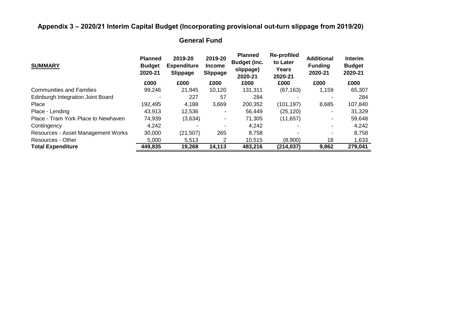## **Appendix 3 – 2020/21 Interim Capital Budget (Incorporating provisional out-turn slippage from 2019/20)**

## **General Fund**

| <b>SUMMARY</b>                      | <b>Planned</b><br><b>Budget</b><br>2020-21 | 2019-20<br><b>Expenditure</b><br><b>Slippage</b> | 2019-20<br><b>Income</b><br><b>Slippage</b> | <b>Planned</b><br><b>Budget (inc.</b><br>slippage)<br>2020-21 | Re-profiled<br>to Later<br>Years<br>2020-21 | <b>Additional</b><br><b>Funding</b><br>2020-21 | <b>Interim</b><br><b>Budget</b><br>2020-21 |
|-------------------------------------|--------------------------------------------|--------------------------------------------------|---------------------------------------------|---------------------------------------------------------------|---------------------------------------------|------------------------------------------------|--------------------------------------------|
|                                     | £000                                       | £000                                             | £000                                        | £000                                                          | £000                                        | £000                                           | £000                                       |
| <b>Communities and Families</b>     | 99,246                                     | 21.945                                           | 10,120                                      | 131,311                                                       | (67, 163)                                   | 1,159                                          | 65,307                                     |
| Edinburgh Integration Joint Board   |                                            | 227                                              | 57                                          | 284                                                           |                                             |                                                | 284                                        |
| Place                               | 192.495                                    | 4,188                                            | 3,669                                       | 200,352                                                       | (101.197)                                   | 8,685                                          | 107,840                                    |
| Place - Lending                     | 43.913                                     | 12,536                                           |                                             | 56,449                                                        | (25,120)                                    |                                                | 31,329                                     |
| Place - Tram York Place to Newhaven | 74,939                                     | (3,634)                                          | ٠                                           | 71,305                                                        | (11, 657)                                   | ۰.                                             | 59,648                                     |
| Contingency                         | 4.242                                      | -                                                | -                                           | 4,242                                                         |                                             |                                                | 4,242                                      |
| Resources - Asset Management Works  | 30,000                                     | (21, 507)                                        | 265                                         | 8,758                                                         |                                             |                                                | 8,758                                      |
| Resources - Other                   | 5,000                                      | 5,513                                            | 2                                           | 10,515                                                        | (8,900)                                     | 18                                             | 1,633                                      |
| <b>Total Expenditure</b>            | 449,835                                    | 19,268                                           | 14,113                                      | 483,216                                                       | (214, 037)                                  | 9,862                                          | 279,041                                    |